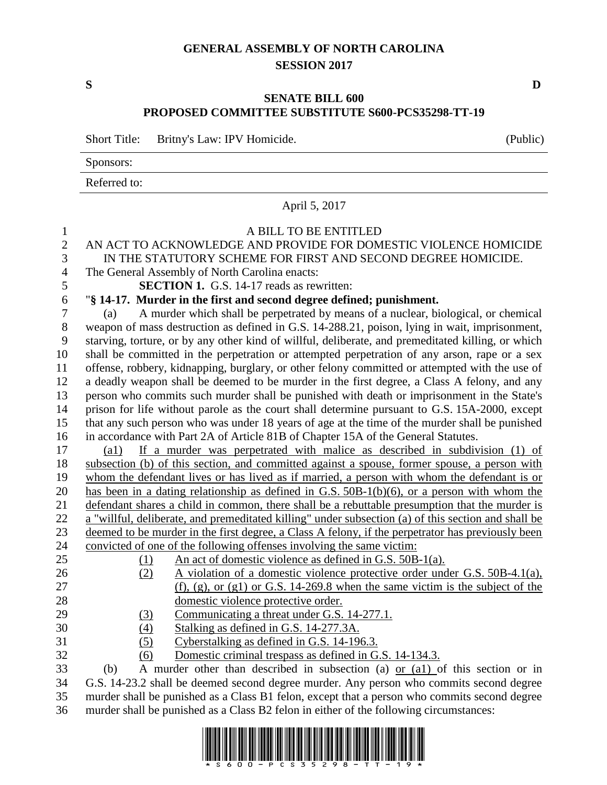## **GENERAL ASSEMBLY OF NORTH CAROLINA SESSION 2017**

## **SENATE BILL 600 PROPOSED COMMITTEE SUBSTITUTE S600-PCS35298-TT-19**

Short Title: Britny's Law: IPV Homicide. (Public)

Sponsors:

Referred to:

|                | www.c                                                                                               |  |  |  |
|----------------|-----------------------------------------------------------------------------------------------------|--|--|--|
|                | April 5, 2017                                                                                       |  |  |  |
| $\mathbf{1}$   | A BILL TO BE ENTITLED                                                                               |  |  |  |
| $\overline{2}$ | AN ACT TO ACKNOWLEDGE AND PROVIDE FOR DOMESTIC VIOLENCE HOMICIDE                                    |  |  |  |
| 3              | IN THE STATUTORY SCHEME FOR FIRST AND SECOND DEGREE HOMICIDE.                                       |  |  |  |
| $\overline{4}$ | The General Assembly of North Carolina enacts:                                                      |  |  |  |
| $\mathfrak{S}$ | <b>SECTION 1.</b> G.S. 14-17 reads as rewritten:                                                    |  |  |  |
| 6              | "§ 14-17. Murder in the first and second degree defined; punishment.                                |  |  |  |
| $\tau$         | A murder which shall be perpetrated by means of a nuclear, biological, or chemical<br>(a)           |  |  |  |
| 8              | weapon of mass destruction as defined in G.S. 14-288.21, poison, lying in wait, imprisonment,       |  |  |  |
| 9              | starving, torture, or by any other kind of willful, deliberate, and premeditated killing, or which  |  |  |  |
| 10             | shall be committed in the perpetration or attempted perpetration of any arson, rape or a sex        |  |  |  |
| 11             | offense, robbery, kidnapping, burglary, or other felony committed or attempted with the use of      |  |  |  |
| 12             | a deadly weapon shall be deemed to be murder in the first degree, a Class A felony, and any         |  |  |  |
| 13             | person who commits such murder shall be punished with death or imprisonment in the State's          |  |  |  |
| 14             | prison for life without parole as the court shall determine pursuant to G.S. 15A-2000, except       |  |  |  |
| 15             | that any such person who was under 18 years of age at the time of the murder shall be punished      |  |  |  |
| 16             | in accordance with Part 2A of Article 81B of Chapter 15A of the General Statutes.                   |  |  |  |
| 17             | If a murder was perpetrated with malice as described in subdivision (1) of<br>$\left( a1\right)$    |  |  |  |
| 18             | subsection (b) of this section, and committed against a spouse, former spouse, a person with        |  |  |  |
| 19             | whom the defendant lives or has lived as if married, a person with whom the defendant is or         |  |  |  |
| 20             | has been in a dating relationship as defined in G.S. 50B-1(b)(6), or a person with whom the         |  |  |  |
| 21             | defendant shares a child in common, there shall be a rebuttable presumption that the murder is      |  |  |  |
| 22             | a "willful, deliberate, and premeditated killing" under subsection (a) of this section and shall be |  |  |  |
| 23             | deemed to be murder in the first degree, a Class A felony, if the perpetrator has previously been   |  |  |  |
| 24             | convicted of one of the following offenses involving the same victim:                               |  |  |  |
| 25             | An act of domestic violence as defined in G.S. 50B-1(a).<br>(1)                                     |  |  |  |
| 26             | A violation of a domestic violence protective order under G.S. 50B-4.1(a),<br>(2)                   |  |  |  |
| 27             | $(f)$ , (g), or (g1) or G.S. 14-269.8 when the same victim is the subject of the                    |  |  |  |
| 28             | domestic violence protective order.                                                                 |  |  |  |
| 29             | Communicating a threat under G.S. 14-277.1.<br>(3)                                                  |  |  |  |
| 30             | (4)<br>Stalking as defined in G.S. 14-277.3A.                                                       |  |  |  |
| 31             | Cyberstalking as defined in G.S. 14-196.3.<br>(5)                                                   |  |  |  |
| 32             | Domestic criminal trespass as defined in G.S. 14-134.3.<br>(6)                                      |  |  |  |
| 33<br>34       | A murder other than described in subsection (a) or $(a)$ of this section or in<br>(b)               |  |  |  |
| 35             | G.S. 14-23.2 shall be deemed second degree murder. Any person who commits second degree             |  |  |  |
|                | murder shall be punished as a Class B1 felon, except that a person who commits second degree        |  |  |  |

murder shall be punished as a Class B2 felon in either of the following circumstances:



**S D**